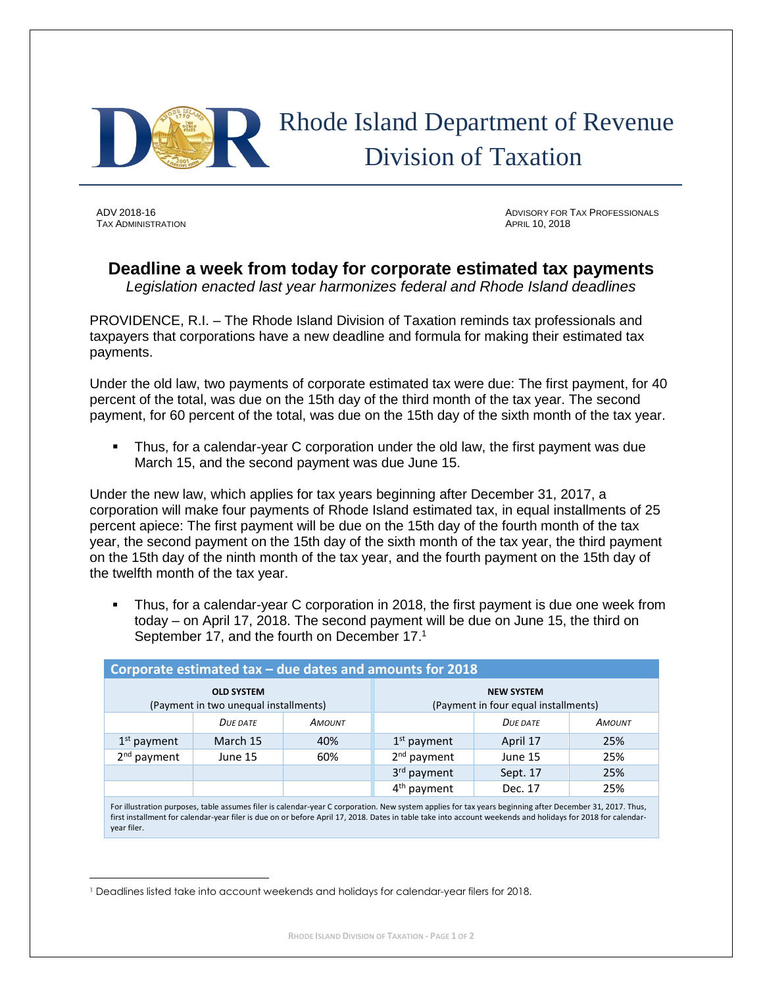

**TAX ADMINISTRATION** 

 $\overline{a}$ 

ADV 2018-16 ADVISORY FOR TAX PROFESSIONALS<br>Tax Administration

## **Deadline a week from today for corporate estimated tax payments**

*Legislation enacted last year harmonizes federal and Rhode Island deadlines*

PROVIDENCE, R.I. – The Rhode Island Division of Taxation reminds tax professionals and taxpayers that corporations have a new deadline and formula for making their estimated tax payments.

Under the old law, two payments of corporate estimated tax were due: The first payment, for 40 percent of the total, was due on the 15th day of the third month of the tax year. The second payment, for 60 percent of the total, was due on the 15th day of the sixth month of the tax year.

 Thus, for a calendar-year C corporation under the old law, the first payment was due March 15, and the second payment was due June 15.

Under the new law, which applies for tax years beginning after December 31, 2017, a corporation will make four payments of Rhode Island estimated tax, in equal installments of 25 percent apiece: The first payment will be due on the 15th day of the fourth month of the tax year, the second payment on the 15th day of the sixth month of the tax year, the third payment on the 15th day of the ninth month of the tax year, and the fourth payment on the 15th day of the twelfth month of the tax year.

 Thus, for a calendar-year C corporation in 2018, the first payment is due one week from today – on April 17, 2018. The second payment will be due on June 15, the third on September 17, and the fourth on December 17.<sup>1</sup>

| Corporate estimated tax - due dates and amounts for 2018   |        |                                                           |          |               |  |
|------------------------------------------------------------|--------|-----------------------------------------------------------|----------|---------------|--|
| <b>OLD SYSTEM</b><br>(Payment in two unequal installments) |        | <b>NEW SYSTEM</b><br>(Payment in four equal installments) |          |               |  |
| DUE DATE                                                   | AMOUNT |                                                           | DUE DATE | <b>AMOUNT</b> |  |
| March 15                                                   | 40%    | $1st$ payment                                             | April 17 | 25%           |  |
| June 15                                                    | 60%    | $2nd$ payment                                             | June 15  | 25%           |  |
|                                                            |        | 3 <sup>rd</sup> payment                                   | Sept. 17 | 25%           |  |
|                                                            |        | $4th$ payment                                             | Dec. 17  | 25%           |  |
|                                                            |        |                                                           |          |               |  |

For illustration purposes, table assumes filer is calendar-year C corporation. New system applies for tax years beginning after December 31, 2017. Thus, first installment for calendar-year filer is due on or before April 17, 2018. Dates in table take into account weekends and holidays for 2018 for calendaryear filer.

<sup>1</sup> Deadlines listed take into account weekends and holidays for calendar-year filers for 2018.